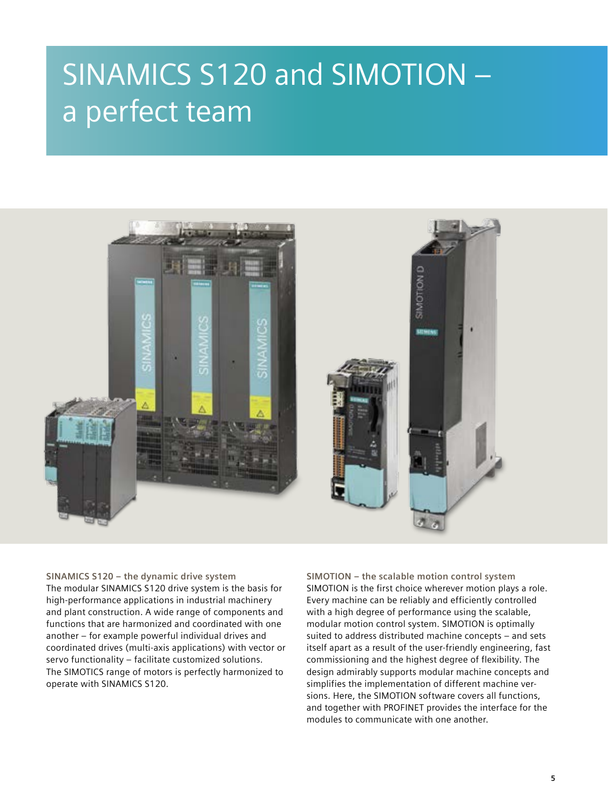## SINAMICS S120 SIMOTION - $\overline{\phantom{a}}$ Ве сочетание ÿû-L



**SINAMICS S120 – the dynamic drive system**  The modular SINAMICS S120 drive system is the basis for high-performance applications in industrial machinery and plant construction. A wide range of components and functions that are harmonized and coordinated with one another – for example powerful individual drives and coordinated drives (multi-axis applications) with vector or servo functionality – facilitate customized solutions. The SIMOTICS range of motors is perfectly harmonized to operate with SINAMICS S120.

**SIMOTION – the scalable motion control system**  SIMOTION is the first choice wherever motion plays a role. Every machine can be reliably and efficiently controlled with a high degree of performance using the scalable, modular motion control system. SIMOTION is optimally suited to address distributed machine concepts – and sets itself apart as a result of the user-friendly engineering, fast commissioning and the highest degree of flexibility. The design admirably supports modular machine concepts and simplifies the implementation of different machine versions. Here, the SIMOTION software covers all functions, and together with PROFINET provides the interface for the modules to communicate with one another.